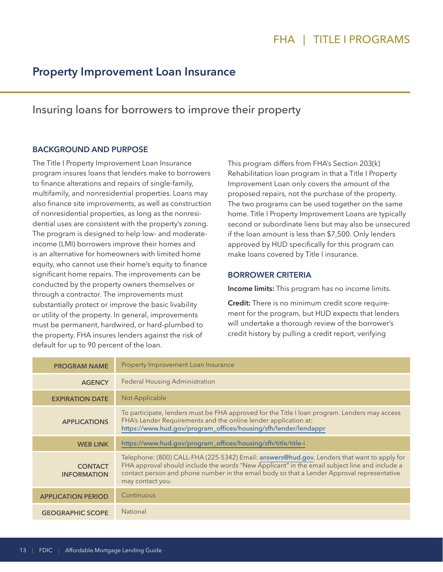# **Property Improvement Loan Insurance**

Insuring loans for borrowers to improve their property

## **BACKGROUND AND PURPOSE**

The Title I Property Improvement Loan Insurance program insures loans that lenders make to borrowers to finance alterations and repairs of single-family, multifamily, and nonresidential properties. Loans may also finance site improvements, as well as construction of nonresidential properties, as long as the nonresidential uses are consistent with the property's zoning. The program is designed to help low- and moderateincome (LMI) borrowers improve their homes and is an alternative for homeowners with limited home equity, who cannot use their home's equity to finance significant home repairs. The improvements can be conducted by the property owners themselves or through a contractor. The improvements must substantially protect or improve the basic livability or utility of the property. In general, improvements must be permanent, hardwired, or hard-plumbed to the property. FHA insures lenders against the risk of default for up to 90 percent of the loan.

This program differs from FHA's Section 203(k) Rehabilitation loan program in that a Title I Property Improvement Loan only covers the amount of the proposed repairs, not the purchase of the property. The two programs can be used together on the same home. Title I Property Improvement Loans are typically second or subordinate liens but may also be unsecured if the loan amount is less than \$7,500. Only lenders approved by HUD specifically for this program can make loans covered by Title I insurance.

### **BORROWER CRITERIA**

**Income limits:** This program has no income limits.

**Credit:** There is no minimum credit score requirement for the program, but HUD expects that lenders will undertake a thorough review of the borrower's credit history by pulling a credit report, verifying

| <b>PROGRAM NAME</b>                  | Property Improvement Loan Insurance                                                                                                                                                                                                                                                                            |
|--------------------------------------|----------------------------------------------------------------------------------------------------------------------------------------------------------------------------------------------------------------------------------------------------------------------------------------------------------------|
| <b>AGENCY</b>                        | Federal Housing Administration                                                                                                                                                                                                                                                                                 |
| <b>EXPIRATION DATE</b>               | Not Applicable                                                                                                                                                                                                                                                                                                 |
| <b>APPLICATIONS</b>                  | To participate, lenders must be FHA approved for the Title I loan program. Lenders may access<br>FHA's Lender Requirements and the online lender application at:<br>https://www.hud.gov/program_offices/housing/sfh/lender/lendappr                                                                            |
| <b>WEB LINK</b>                      | https://www.hud.gov/program_offices/housing/sfh/title/title-i                                                                                                                                                                                                                                                  |
| <b>CONTACT</b><br><b>INFORMATION</b> | Telephone: (800) CALL-FHA (225-5342) Email: answers@hud.gov. Lenders that want to apply for<br>FHA approval should include the words "New Applicant" in the email subject line and include a<br>contact person and phone number in the email body so that a Lender Approval representative<br>may contact you. |
| <b>APPLICATION PERIOD</b>            | Continuous                                                                                                                                                                                                                                                                                                     |
| <b>GEOGRAPHIC SCOPE</b>              | <b>National</b>                                                                                                                                                                                                                                                                                                |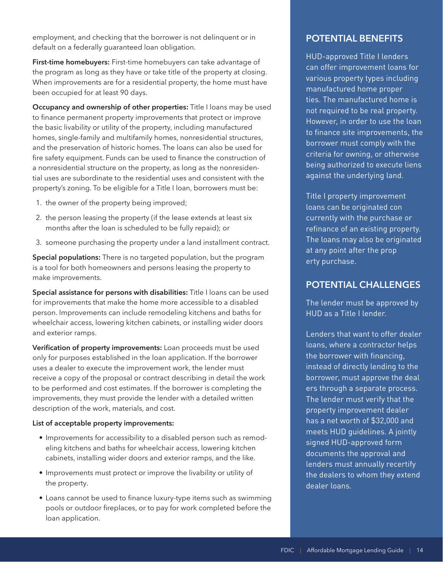employment, and checking that the borrower is not delinquent or in default on a federally guaranteed loan obligation.

**First-time homebuyers:** First-time homebuyers can take advantage of the program as long as they have or take title of the property at closing. When improvements are for a residential property, the home must have been occupied for at least 90 days.

**Occupancy and ownership of other properties:** Title I loans may be used to finance permanent property improvements that protect or improve the basic livability or utility of the property, including manufactured homes, single-family and multifamily homes, nonresidential structures, and the preservation of historic homes. The loans can also be used for fire safety equipment. Funds can be used to finance the construction of a nonresidential structure on the property, as long as the nonresidential uses are subordinate to the residential uses and consistent with the property's zoning. To be eligible for a Title I loan, borrowers must be:

- 1. the owner of the property being improved;
- 2. the person leasing the property (if the lease extends at least six months after the loan is scheduled to be fully repaid); or
- 3. someone purchasing the property under a land installment contract.

**Special populations:** There is no targeted population, but the program is a tool for both homeowners and persons leasing the property to make improvements.

**Special assistance for persons with disabilities:** Title I loans can be used for improvements that make the home more accessible to a disabled person. Improvements can include remodeling kitchens and baths for wheelchair access, lowering kitchen cabinets, or installing wider doors and exterior ramps.

**Verification of property improvements:** Loan proceeds must be used only for purposes established in the loan application. If the borrower uses a dealer to execute the improvement work, the lender must receive a copy of the proposal or contract describing in detail the work to be performed and cost estimates. If the borrower is completing the improvements, they must provide the lender with a detailed written description of the work, materials, and cost.

### **List of acceptable property improvements:**

- Improvements for accessibility to a disabled person such as remodeling kitchens and baths for wheelchair access, lowering kitchen cabinets, installing wider doors and exterior ramps, and the like.
- Improvements must protect or improve the livability or utility of the property.
- Loans cannot be used to finance luxury-type items such as swimming pools or outdoor fireplaces, or to pay for work completed before the loan application.

## **POTENTIAL BENEFITS**

HUD-approved Title I lenders can offer improvement loans for various property types including manufactured home proper ties. The manufactured home is not required to be real property. However, in order to use the loan to finance site improvements, the borrower must comply with the criteria for owning, or otherwise being authorized to execute liens against the underlying land.

loans can be originated con - at any point after the prop erty purchase. Title I property improvement currently with the purchase or refinance of an existing property. The loans may also be originated

## **POTENTIAL CHALLENGES**

The lender must be approved by HUD as a Title I lender.

- borrower, must approve the deal ers through a separate process. Lenders that want to offer dealer loans, where a contractor helps the borrower with financing, instead of directly lending to the The lender must verify that the property improvement dealer has a net worth of \$32,000 and meets HUD guidelines. A jointly signed HUD-approved form documents the approval and lenders must annually recertify the dealers to whom they extend dealer loans.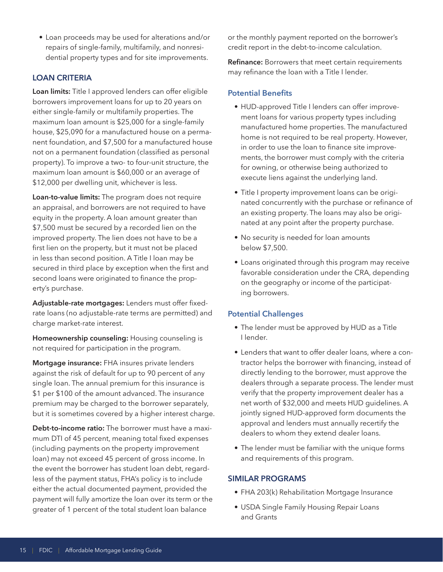15 | FDIC | Affordable Mortgage Lending Guide

**Loan limits:** Title I approved lenders can offer eligible borrowers improvement loans for up to 20 years on either single-family or multifamily properties. The maximum loan amount is \$25,000 for a single-family house, \$25,090 for a manufactured house on a perma-

**LOAN CRITERIA** 

• Loan proceeds may be used for alterations and/or repairs of single-family, multifamily, and nonresidential property types and for site improvements.

nent foundation, and \$7,500 for a manufactured house not on a permanent foundation (classified as personal property). To improve a two- to four-unit structure, the maximum loan amount is \$60,000 or an average of \$12,000 per dwelling unit, whichever is less.

 in less than second position. A Title I loan may be **Loan-to-value limits:** The program does not require an appraisal, and borrowers are not required to have equity in the property. A loan amount greater than \$7,500 must be secured by a recorded lien on the improved property. The lien does not have to be a first lien on the property, but it must not be placed secured in third place by exception when the first and second loans were originated to finance the property's purchase.

**Adjustable-rate mortgages:** Lenders must offer fixedrate loans (no adjustable-rate terms are permitted) and charge market-rate interest.

**Homeownership counseling:** Housing counseling is not required for participation in the program.

**Mortgage insurance:** FHA insures private lenders against the risk of default for up to 90 percent of any single loan. The annual premium for this insurance is \$1 per \$100 of the amount advanced. The insurance premium may be charged to the borrower separately, but it is sometimes covered by a higher interest charge.

**Debt-to-income ratio:** The borrower must have a maximum DTI of 45 percent, meaning total fixed expenses (including payments on the property improvement loan) may not exceed 45 percent of gross income. In the event the borrower has student loan debt, regardless of the payment status, FHA's policy is to include either the actual documented payment, provided the payment will fully amortize the loan over its term or the greater of 1 percent of the total student loan balance

or the monthly payment reported on the borrower's credit report in the debt-to-income calculation.

**Refinance:** Borrowers that meet certain requirements may refinance the loan with a Title I lender.

## **Potential Benefits**

- HUD-approved Title I lenders can offer improvement loans for various property types including manufactured home properties. The manufactured home is not required to be real property. However, in order to use the loan to finance site improvements, the borrower must comply with the criteria for owning, or otherwise being authorized to execute liens against the underlying land.
- Title I property improvement loans can be originated concurrently with the purchase or refinance of an existing property. The loans may also be originated at any point after the property purchase.
- No security is needed for loan amounts below \$7,500.
- Loans originated through this program may receive favorable consideration under the CRA, depending on the geography or income of the participating borrowers.

## **Potential Challenges**

- The lender must be approved by HUD as a Title I lender.
- net worth of \$32,000 and meets HUD guidelines. A • Lenders that want to offer dealer loans, where a contractor helps the borrower with financing, instead of directly lending to the borrower, must approve the dealers through a separate process. The lender must verify that the property improvement dealer has a jointly signed HUD-approved form documents the approval and lenders must annually recertify the dealers to whom they extend dealer loans.
- The lender must be familiar with the unique forms and requirements of this program.

### **SIMILAR PROGRAMS**

- FHA 203(k) Rehabilitation Mortgage Insurance
- USDA Single Family Housing Repair Loans and Grants